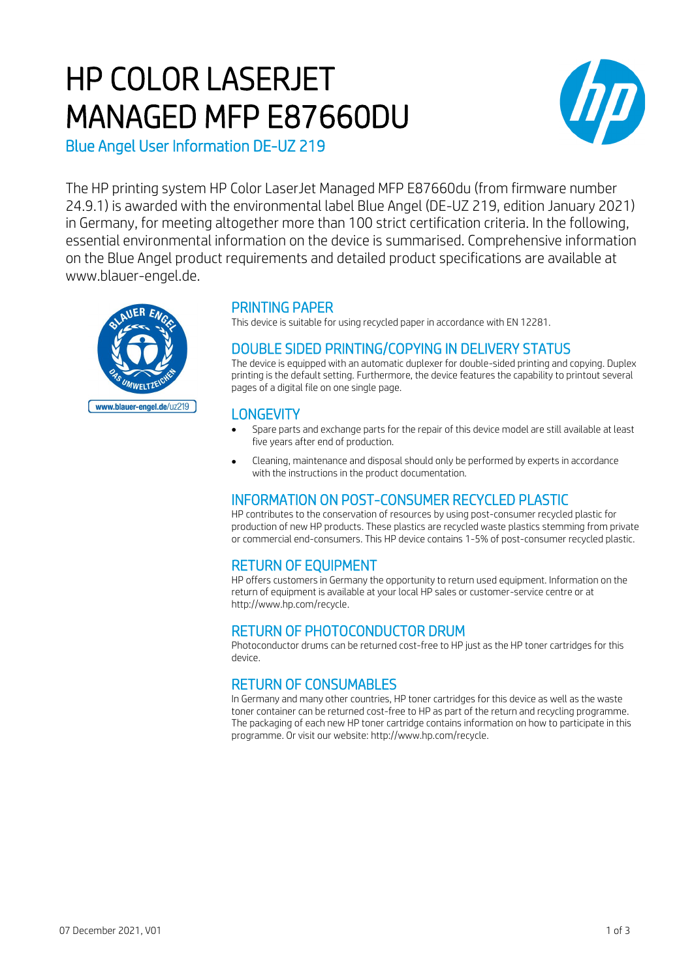# HP COLOR LASERJET MANAGED MFP E87660DU



Blue Angel User Information DE-UZ 219

The HP printing system HP Color LaserJet Managed MFP E87660du (from firmware number 24.9.1) is awarded with the environmental label Blue Angel (DE-UZ 219, edition January 2021) in Germany, for meeting altogether more than 100 strict certification criteria. In the following, essential environmental information on the device is summarised. Comprehensive information on the Blue Angel product requirements and detailed product specifications are available at www.blauer-engel.de.



## PRINTING PAPER

This device is suitable for using recycled paper in accordance with EN 12281.

# DOUBLE SIDED PRINTING/COPYING IN DELIVERY STATUS

The device is equipped with an automatic duplexer for double-sided printing and copying. Duplex printing is the default setting. Furthermore, the device features the capability to printout several pages of a digital file on one single page.

## **LONGEVITY**

- Spare parts and exchange parts for the repair of this device model are still available at least five years after end of production.
- Cleaning, maintenance and disposal should only be performed by experts in accordance with the instructions in the product documentation.

# INFORMATION ON POST-CONSUMER RECYCLED PLASTIC

HP contributes to the conservation of resources by using post-consumer recycled plastic for production of new HP products. These plastics are recycled waste plastics stemming from private or commercial end-consumers. This HP device contains 1-5% of post-consumer recycled plastic.

# RETURN OF EQUIPMENT

HP offers customers in Germany the opportunity to return used equipment. Information on the return of equipment is available at your local HP sales or customer-service centre or at http://www.hp.com/recycle.

# RETURN OF PHOTOCONDUCTOR DRUM

Photoconductor drums can be returned cost-free to HP just as the HP toner cartridges for this device.

# RETURN OF CONSUMABLES

In Germany and many other countries, HP toner cartridges for this device as well as the waste toner container can be returned cost-free to HP as part of the return and recycling programme. The packaging of each new HP toner cartridge contains information on how to participate in this programme. Or visit our website: http://www.hp.com/recycle.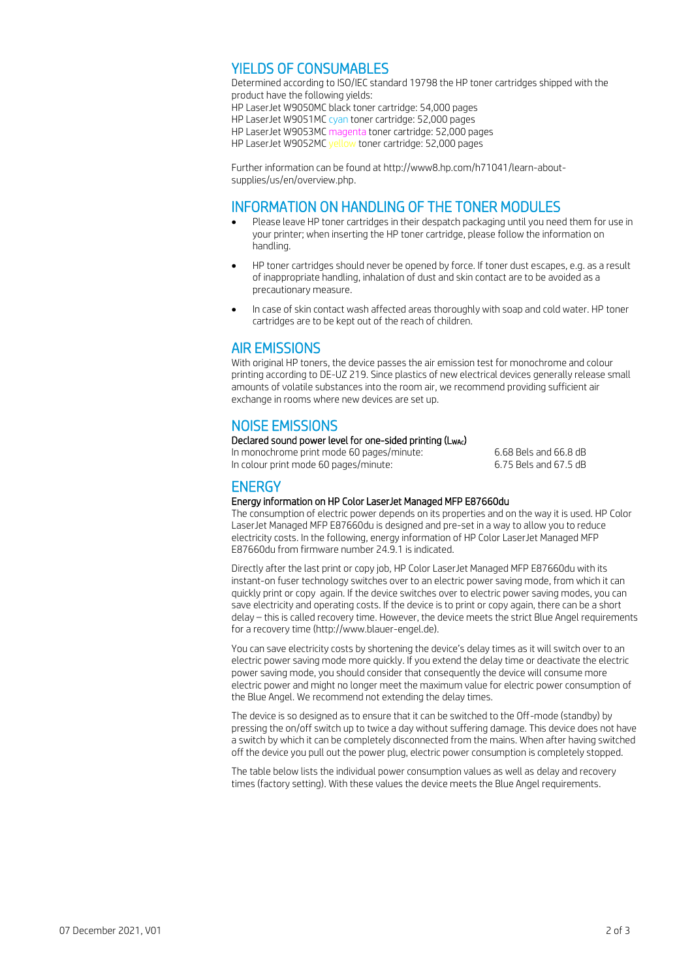## YIELDS OF CONSUMABLES

Determined according to ISO/IEC standard 19798 the HP toner cartridges shipped with the product have the following yields: HP LaserJet W9050MC black toner cartridge: 54,000 pages HP LaserJet W9051MC cyan toner cartridge: 52,000 pages HP LaserJet W9053MC magenta toner cartridge: 52,000 pages HP LaserJet W9052MC yellow toner cartridge: 52,000 pages

Further information can be found at http://www8.hp.com/h71041/learn-aboutsupplies/us/en/overview.php.

#### INFORMATION ON HANDLING OF THE TONER MODULES

- Please leave HP toner cartridges in their despatch packaging until you need them for use in your printer; when inserting the HP toner cartridge, please follow the information on handling.
- HP toner cartridges should never be opened by force. If toner dust escapes, e.g. as a result of inappropriate handling, inhalation of dust and skin contact are to be avoided as a precautionary measure.
- In case of skin contact wash affected areas thoroughly with soap and cold water. HP toner cartridges are to be kept out of the reach of children.

## AIR EMISSIONS

With original HP toners, the device passes the air emission test for monochrome and colour printing according to DE-UZ 219. Since plastics of new electrical devices generally release small amounts of volatile substances into the room air, we recommend providing sufficient air exchange in rooms where new devices are set up.

## NOISE EMISSIONS

#### Declared sound power level for one-sided printing (L<sub>WAc</sub>)

In monochrome print mode 60 pages/minute: 6.68 Bels and 66.8 dB<br>In colour print mode 60 pages/minute: 6.75 Bels and 67.5 dB In colour print mode 60 pages/minute:

#### **ENERGY**

#### Energy information on HP Color LaserJet Managed MFP E87660du

The consumption of electric power depends on its properties and on the way it is used. HP Color LaserJet Managed MFP E87660du is designed and pre-set in a way to allow you to reduce electricity costs. In the following, energy information of HP Color LaserJet Managed MFP E87660du from firmware number 24.9.1 is indicated.

Directly after the last print or copy job, HP Color LaserJet Managed MFP E87660du with its instant-on fuser technology switches over to an electric power saving mode, from which it can quickly print or copy again. If the device switches over to electric power saving modes, you can save electricity and operating costs. If the device is to print or copy again, there can be a short delay – this is called recovery time. However, the device meets the strict Blue Angel requirements for a recovery time (http://www.blauer-engel.de).

You can save electricity costs by shortening the device's delay times as it will switch over to an electric power saving mode more quickly. If you extend the delay time or deactivate the electric power saving mode, you should consider that consequently the device will consume more electric power and might no longer meet the maximum value for electric power consumption of the Blue Angel. We recommend not extending the delay times.

The device is so designed as to ensure that it can be switched to the Off-mode (standby) by pressing the on/off switch up to twice a day without suffering damage. This device does not have a switch by which it can be completely disconnected from the mains. When after having switched off the device you pull out the power plug, electric power consumption is completely stopped.

The table below lists the individual power consumption values as well as delay and recovery times (factory setting). With these values the device meets the Blue Angel requirements.